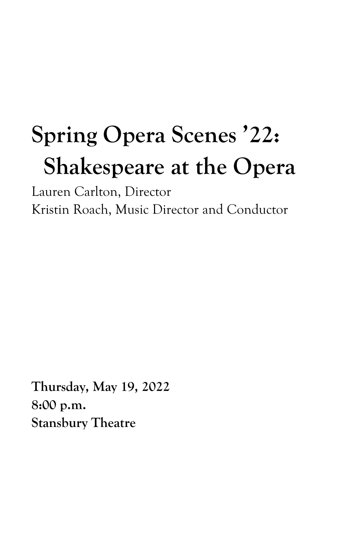# **Spring Opera Scenes '22: Shakespeare at the Opera**

Lauren Carlton, Director Kristin Roach, Music Director and Conductor

**Thursday, May 19, 2022 8:00 p.m. Stansbury Theatre**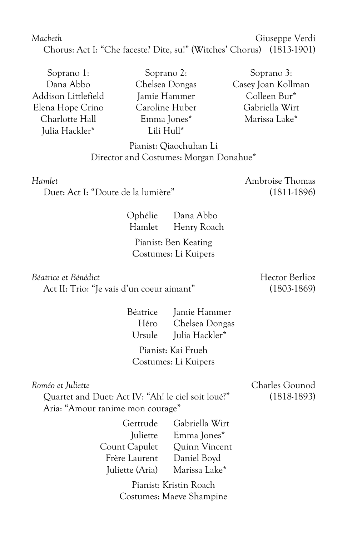# *Macbeth* Giuseppe Verdi Chorus: Act I: "Che faceste? Dite, su!" (Witches' Chorus) (1813-1901)

Soprano 1: Dana Abbo Addison Littlefield Elena Hope Crino Charlotte Hall Julia Hackler\*

Soprano 2: Chelsea Dongas Jamie Hammer Caroline Huber Emma Jones\* Lili Hull\*

Soprano 3: Casey Joan Kollman Colleen Bur\* Gabriella Wirt Marissa Lake\*

## Pianist: Qiaochuhan Li Director and Costumes: Morgan Donahue\*

*Hamlet* **Ambroise** Thomas

Duet: Act I: "Doute de la lumière" (1811-1896)

Ophélie Dana Abbo Hamlet Henry Roach

Pianist: Ben Keating Costumes: Li Kuipers

*Béatrice et Bénédict* Maria de la maria de la maria de Hector Berlioz

Act II: Trio: "Je vais d'un coeur aimant" (1803-1869)

Béatrice Jamie Hammer Héro Chelsea Dongas Ursule Julia Hackler\*

Pianist: Kai Frueh Costumes: Li Kuipers

Quartet and Duet: Act IV: "Ah! le ciel soit loué?" (1818-1893) Aria: "Amour ranime mon courage"

| Gabriella Wirt |
|----------------|
| Emma Jones*    |
| Quinn Vincent  |
| Daniel Boyd    |
| Marissa Lake*  |
|                |

Pianist: Kristin Roach Costumes: Maeve Shampine

*Roméo et Juliette* Charles Gounod